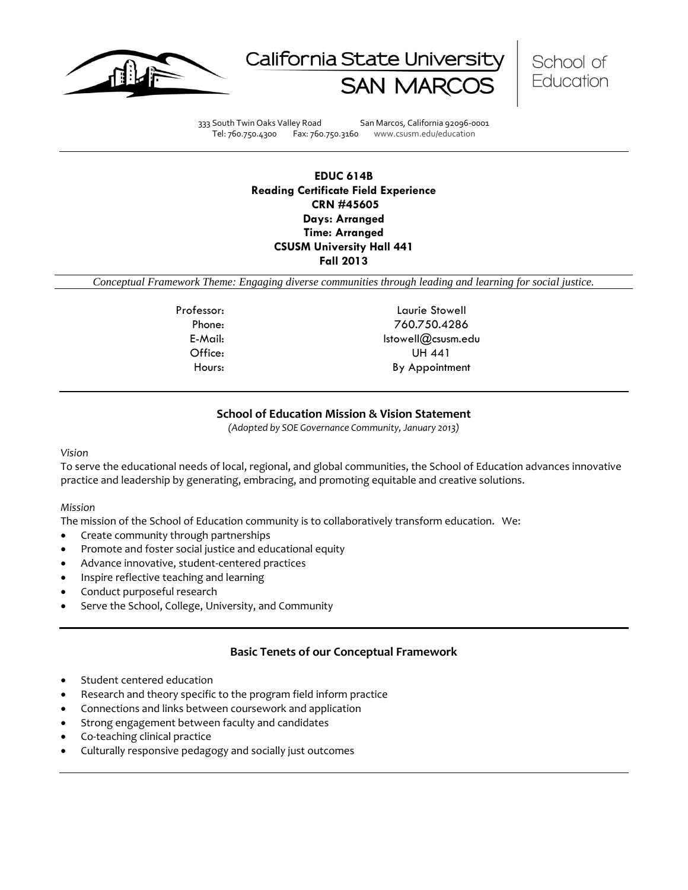





333 South Twin Oaks Valley Road San Marcos, California 92096-0001 Tel: 760.750.4300 Fax: 760.750.3160 www.csusm.edu/education

**EDUC 614B Reading Certificate Field Experience CRN #45605 Days: Arranged Time: Arranged CSUSM University Hall 441 Fall 2013** 

*Conceptual Framework Theme: Engaging diverse communities through leading and learning for social justice.*

Professor: Laurie Stowell Phone: 760.750.4286 E-Mail: lstowell@csusm.edu Office: UH 441 Hours: By Appointment

# **School of Education Mission & Vision Statement**

*(Adopted by SOE Governance Community, January 2013)*

#### *Vision*

To serve the educational needs of local, regional, and global communities, the School of Education advances innovative practice and leadership by generating, embracing, and promoting equitable and creative solutions.

## *Mission*

The mission of the School of Education community is to collaboratively transform education. We:

- Create community through partnerships
- Promote and foster social justice and educational equity
- Advance innovative, student-centered practices
- Inspire reflective teaching and learning
- Conduct purposeful research
- Serve the School, College, University, and Community

# **Basic Tenets of our Conceptual Framework**

- Student centered education
- Research and theory specific to the program field inform practice
- Connections and links between coursework and application
- Strong engagement between faculty and candidates
- Co-teaching clinical practice
- Culturally responsive pedagogy and socially just outcomes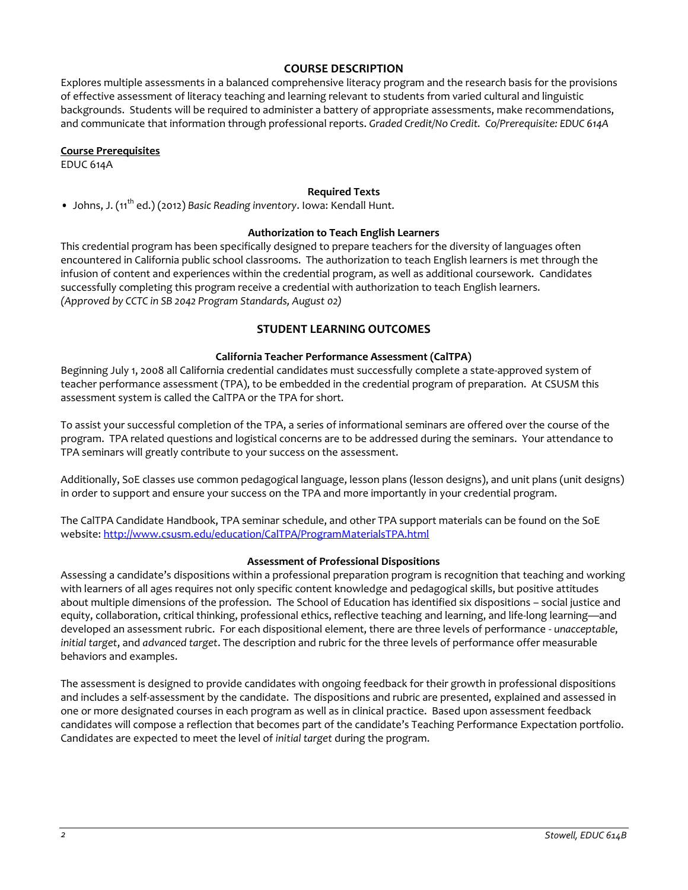# **COURSE DESCRIPTION**

Explores multiple assessments in a balanced comprehensive literacy program and the research basis for the provisions of effective assessment of literacy teaching and learning relevant to students from varied cultural and linguistic backgrounds. Students will be required to administer a battery of appropriate assessments, make recommendations, and communicate that information through professional reports. *Graded Credit/No Credit. Co/Prerequisite: EDUC 614A*

# **Course Prerequisites**

EDUC 614A

# **Required Texts**

• Johns, J. (11<sup>th</sup> ed.) (2012) *Basic Reading inventory*. Iowa: Kendall Hunt.

## **Authorization to Teach English Learners**

This credential program has been specifically designed to prepare teachers for the diversity of languages often encountered in California public school classrooms. The authorization to teach English learners is met through the infusion of content and experiences within the credential program, as well as additional coursework. Candidates successfully completing this program receive a credential with authorization to teach English learners. *(Approved by CCTC in SB 2042 Program Standards, August 02)*

# **STUDENT LEARNING OUTCOMES**

## **California Teacher Performance Assessment (CalTPA)**

Beginning July 1, 2008 all California credential candidates must successfully complete a state-approved system of teacher performance assessment (TPA), to be embedded in the credential program of preparation. At CSUSM this assessment system is called the CalTPA or the TPA for short.

To assist your successful completion of the TPA, a series of informational seminars are offered over the course of the program. TPA related questions and logistical concerns are to be addressed during the seminars. Your attendance to TPA seminars will greatly contribute to your success on the assessment.

Additionally, SoE classes use common pedagogical language, lesson plans (lesson designs), and unit plans (unit designs) in order to support and ensure your success on the TPA and more importantly in your credential program.

The CalTPA Candidate Handbook, TPA seminar schedule, and other TPA support materials can be found on the SoE website: <http://www.csusm.edu/education/CalTPA/ProgramMaterialsTPA.html>

## **Assessment of Professional Dispositions**

Assessing a candidate's dispositions within a professional preparation program is recognition that teaching and working with learners of all ages requires not only specific content knowledge and pedagogical skills, but positive attitudes about multiple dimensions of the profession. The School of Education has identified six dispositions – social justice and equity, collaboration, critical thinking, professional ethics, reflective teaching and learning, and life-long learning—and developed an assessment rubric. For each dispositional element, there are three levels of performance - *unacceptable*, *initial target*, and *advanced target*. The description and rubric for the three levels of performance offer measurable behaviors and examples.

The assessment is designed to provide candidates with ongoing feedback for their growth in professional dispositions and includes a self-assessment by the candidate. The dispositions and rubric are presented, explained and assessed in one or more designated courses in each program as well as in clinical practice. Based upon assessment feedback candidates will compose a reflection that becomes part of the candidate's Teaching Performance Expectation portfolio. Candidates are expected to meet the level of *initial target* during the program.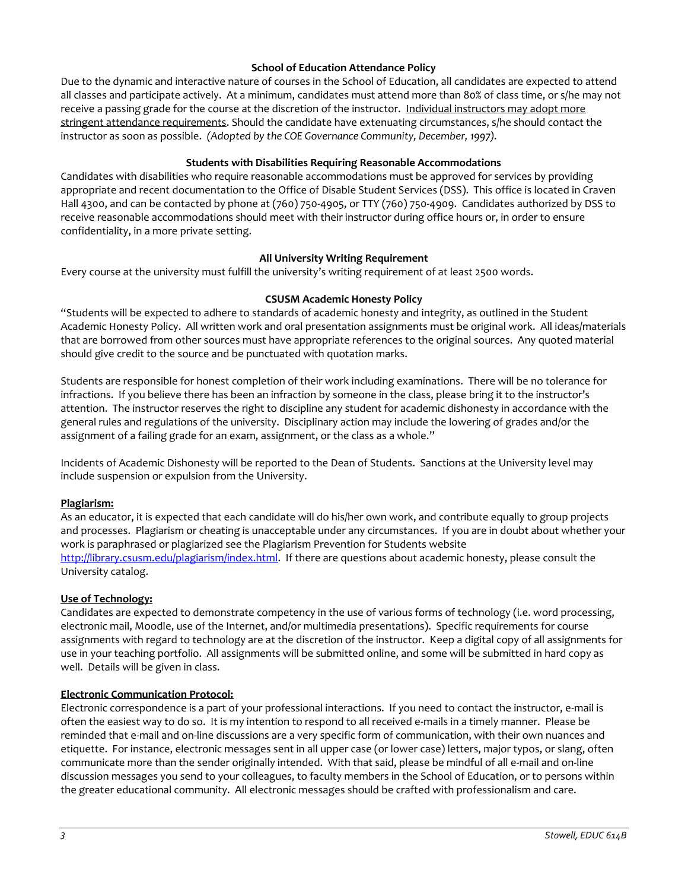# **School of Education Attendance Policy**

Due to the dynamic and interactive nature of courses in the School of Education, all candidates are expected to attend all classes and participate actively. At a minimum, candidates must attend more than 80% of class time, or s/he may not receive a passing grade for the course at the discretion of the instructor. Individual instructors may adopt more stringent attendance requirements. Should the candidate have extenuating circumstances, s/he should contact the instructor as soon as possible. *(Adopted by the COE Governance Community, December, 1997).*

# **Students with Disabilities Requiring Reasonable Accommodations**

Candidates with disabilities who require reasonable accommodations must be approved for services by providing appropriate and recent documentation to the Office of Disable Student Services (DSS). This office is located in Craven Hall 4300, and can be contacted by phone at (760) 750-4905, or TTY (760) 750-4909. Candidates authorized by DSS to receive reasonable accommodations should meet with their instructor during office hours or, in order to ensure confidentiality, in a more private setting.

# **All University Writing Requirement**

Every course at the university must fulfill the university's writing requirement of at least 2500 words.

# **CSUSM Academic Honesty Policy**

"Students will be expected to adhere to standards of academic honesty and integrity, as outlined in the Student Academic Honesty Policy. All written work and oral presentation assignments must be original work. All ideas/materials that are borrowed from other sources must have appropriate references to the original sources. Any quoted material should give credit to the source and be punctuated with quotation marks.

Students are responsible for honest completion of their work including examinations. There will be no tolerance for infractions. If you believe there has been an infraction by someone in the class, please bring it to the instructor's attention. The instructor reserves the right to discipline any student for academic dishonesty in accordance with the general rules and regulations of the university. Disciplinary action may include the lowering of grades and/or the assignment of a failing grade for an exam, assignment, or the class as a whole."

Incidents of Academic Dishonesty will be reported to the Dean of Students. Sanctions at the University level may include suspension or expulsion from the University.

## **Plagiarism:**

As an educator, it is expected that each candidate will do his/her own work, and contribute equally to group projects and processes. Plagiarism or cheating is unacceptable under any circumstances. If you are in doubt about whether your work is paraphrased or plagiarized see the Plagiarism Prevention for Students website [http://library.csusm.edu/plagiarism/index.html.](http://library.csusm.edu/plagiarism/index.html) If there are questions about academic honesty, please consult the University catalog.

## **Use of Technology:**

Candidates are expected to demonstrate competency in the use of various forms of technology (i.e. word processing, electronic mail, Moodle, use of the Internet, and/or multimedia presentations). Specific requirements for course assignments with regard to technology are at the discretion of the instructor. Keep a digital copy of all assignments for use in your teaching portfolio. All assignments will be submitted online, and some will be submitted in hard copy as well. Details will be given in class.

## **Electronic Communication Protocol:**

Electronic correspondence is a part of your professional interactions. If you need to contact the instructor, e-mail is often the easiest way to do so. It is my intention to respond to all received e-mails in a timely manner. Please be reminded that e-mail and on-line discussions are a very specific form of communication, with their own nuances and etiquette. For instance, electronic messages sent in all upper case (or lower case) letters, major typos, or slang, often communicate more than the sender originally intended. With that said, please be mindful of all e-mail and on-line discussion messages you send to your colleagues, to faculty members in the School of Education, or to persons within the greater educational community. All electronic messages should be crafted with professionalism and care.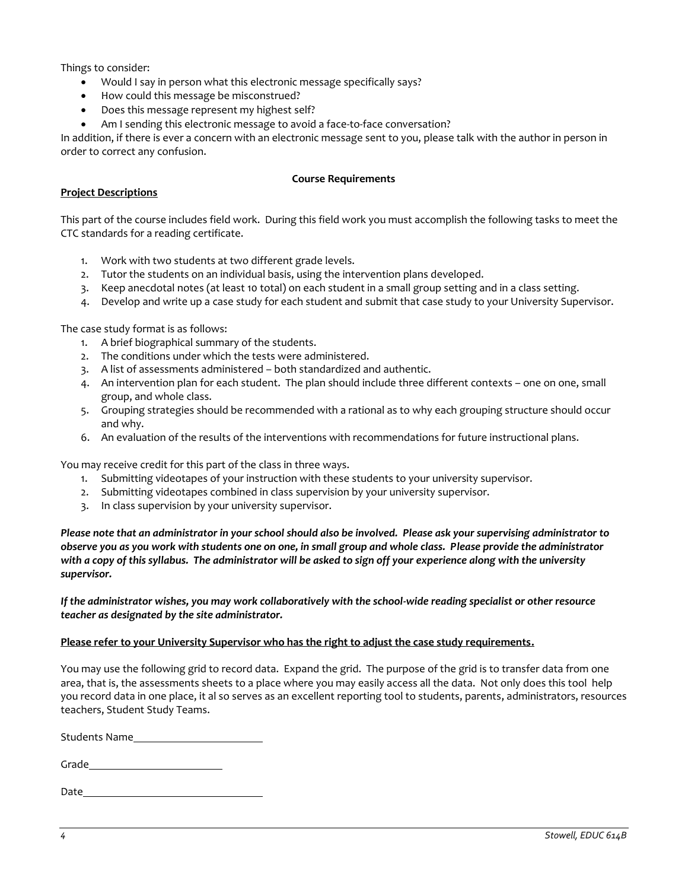Things to consider:

- Would I say in person what this electronic message specifically says?
- How could this message be misconstrued?
- Does this message represent my highest self?
- Am I sending this electronic message to avoid a face-to-face conversation?

In addition, if there is ever a concern with an electronic message sent to you, please talk with the author in person in order to correct any confusion.

## **Course Requirements**

### **Project Descriptions**

This part of the course includes field work. During this field work you must accomplish the following tasks to meet the CTC standards for a reading certificate.

- 1. Work with two students at two different grade levels.
- 2. Tutor the students on an individual basis, using the intervention plans developed.
- 3. Keep anecdotal notes (at least 10 total) on each student in a small group setting and in a class setting.
- 4. Develop and write up a case study for each student and submit that case study to your University Supervisor.

The case study format is as follows:

- 1. A brief biographical summary of the students.
- 2. The conditions under which the tests were administered.
- 3. A list of assessments administered both standardized and authentic.
- 4. An intervention plan for each student. The plan should include three different contexts one on one, small group, and whole class.
- 5. Grouping strategies should be recommended with a rational as to why each grouping structure should occur and why.
- 6. An evaluation of the results of the interventions with recommendations for future instructional plans.

You may receive credit for this part of the class in three ways.

- 1. Submitting videotapes of your instruction with these students to your university supervisor.
- 2. Submitting videotapes combined in class supervision by your university supervisor.
- 3. In class supervision by your university supervisor.

*Please note that an administrator in your school should also be involved. Please ask your supervising administrator to observe you as you work with students one on one, in small group and whole class. Please provide the administrator with a copy of this syllabus. The administrator will be asked to sign off your experience along with the university supervisor.*

*If the administrator wishes, you may work collaboratively with the school-wide reading specialist or other resource teacher as designated by the site administrator.*

#### **Please refer to your University Supervisor who has the right to adjust the case study requirements.**

You may use the following grid to record data. Expand the grid. The purpose of the grid is to transfer data from one area, that is, the assessments sheets to a place where you may easily access all the data. Not only does this tool help you record data in one place, it al so serves as an excellent reporting tool to students, parents, administrators, resources teachers, Student Study Teams.

Students Name

| Grade |  |  |  |
|-------|--|--|--|
|       |  |  |  |

Date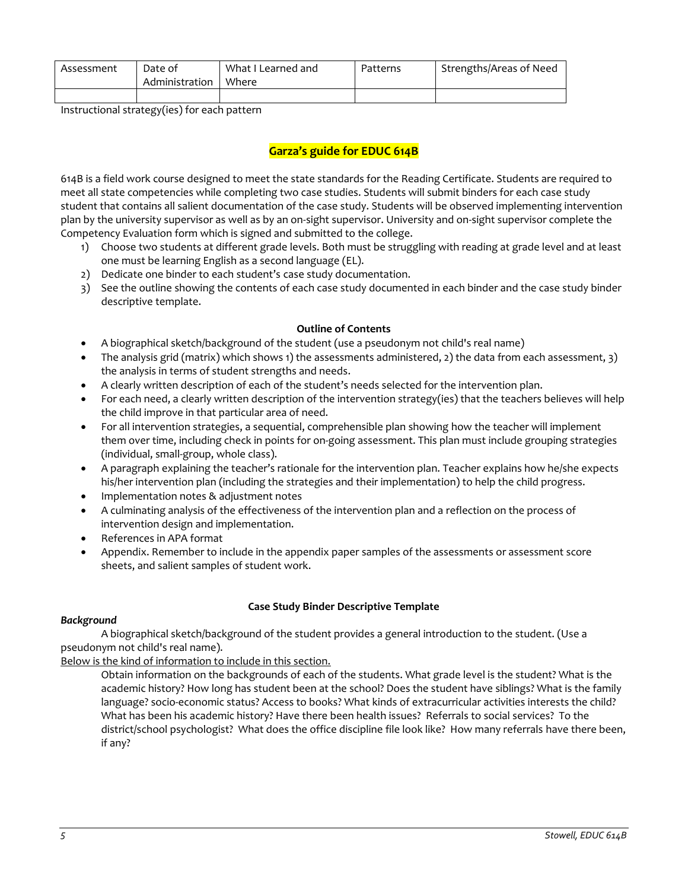| Assessment | Date of<br>Administration | What I Learned and<br>Where | Patterns | Strengths/Areas of Need |
|------------|---------------------------|-----------------------------|----------|-------------------------|
|            |                           |                             |          |                         |

Instructional strategy(ies) for each pattern

# **Garza's guide for EDUC 614B**

614B is a field work course designed to meet the state standards for the Reading Certificate. Students are required to meet all state competencies while completing two case studies. Students will submit binders for each case study student that contains all salient documentation of the case study. Students will be observed implementing intervention plan by the university supervisor as well as by an on-sight supervisor. University and on-sight supervisor complete the Competency Evaluation form which is signed and submitted to the college.

- 1) Choose two students at different grade levels. Both must be struggling with reading at grade level and at least one must be learning English as a second language (EL).
- 2) Dedicate one binder to each student's case study documentation.
- 3) See the outline showing the contents of each case study documented in each binder and the case study binder descriptive template.

## **Outline of Contents**

- A biographical sketch/background of the student (use a pseudonym not child's real name)
- The analysis grid (matrix) which shows 1) the assessments administered, 2) the data from each assessment, 3) the analysis in terms of student strengths and needs.
- A clearly written description of each of the student's needs selected for the intervention plan.
- For each need, a clearly written description of the intervention strategy(ies) that the teachers believes will help the child improve in that particular area of need.
- For all intervention strategies, a sequential, comprehensible plan showing how the teacher will implement them over time, including check in points for on-going assessment. This plan must include grouping strategies (individual, small-group, whole class).
- A paragraph explaining the teacher's rationale for the intervention plan. Teacher explains how he/she expects his/her intervention plan (including the strategies and their implementation) to help the child progress.
- Implementation notes & adjustment notes
- A culminating analysis of the effectiveness of the intervention plan and a reflection on the process of intervention design and implementation.
- References in APA format
- Appendix. Remember to include in the appendix paper samples of the assessments or assessment score sheets, and salient samples of student work.

## **Case Study Binder Descriptive Template**

## *Background*

A biographical sketch/background of the student provides a general introduction to the student. (Use a pseudonym not child's real name).

Below is the kind of information to include in this section.

Obtain information on the backgrounds of each of the students. What grade level is the student? What is the academic history? How long has student been at the school? Does the student have siblings? What is the family language? socio-economic status? Access to books? What kinds of extracurricular activities interests the child? What has been his academic history? Have there been health issues? Referrals to social services? To the district/school psychologist? What does the office discipline file look like? How many referrals have there been, if any?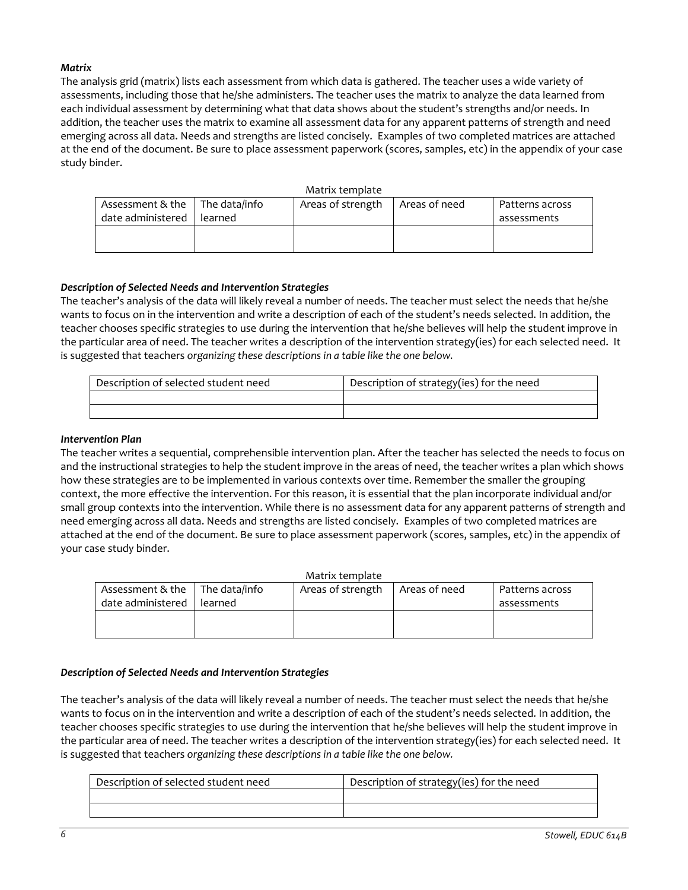# *Matrix*

The analysis grid (matrix) lists each assessment from which data is gathered. The teacher uses a wide variety of assessments, including those that he/she administers. The teacher uses the matrix to analyze the data learned from each individual assessment by determining what that data shows about the student's strengths and/or needs. In addition, the teacher uses the matrix to examine all assessment data for any apparent patterns of strength and need emerging across all data. Needs and strengths are listed concisely. Examples of two completed matrices are attached at the end of the document. Be sure to place assessment paperwork (scores, samples, etc) in the appendix of your case study binder.

|                                            |         | Matrix template   |               |                 |
|--------------------------------------------|---------|-------------------|---------------|-----------------|
| Assessment & the $\parallel$ The data/info |         | Areas of strength | Areas of need | Patterns across |
| date administered                          | learned |                   |               | assessments     |
|                                            |         |                   |               |                 |
|                                            |         |                   |               |                 |
|                                            |         |                   |               |                 |

# *Description of Selected Needs and Intervention Strategies*

The teacher's analysis of the data will likely reveal a number of needs. The teacher must select the needs that he/she wants to focus on in the intervention and write a description of each of the student's needs selected. In addition, the teacher chooses specific strategies to use during the intervention that he/she believes will help the student improve in the particular area of need. The teacher writes a description of the intervention strategy(ies) for each selected need. It is suggested that teachers *organizing these descriptions in a table like the one below.*

| Description of selected student need | Description of strategy(ies) for the need |
|--------------------------------------|-------------------------------------------|
|                                      |                                           |
|                                      |                                           |

## *Intervention Plan*

The teacher writes a sequential, comprehensible intervention plan. After the teacher has selected the needs to focus on and the instructional strategies to help the student improve in the areas of need, the teacher writes a plan which shows how these strategies are to be implemented in various contexts over time. Remember the smaller the grouping context, the more effective the intervention. For this reason, it is essential that the plan incorporate individual and/or small group contexts into the intervention. While there is no assessment data for any apparent patterns of strength and need emerging across all data. Needs and strengths are listed concisely. Examples of two completed matrices are attached at the end of the document. Be sure to place assessment paperwork (scores, samples, etc) in the appendix of your case study binder.

|                                            |         | Matrix template   |               |                 |
|--------------------------------------------|---------|-------------------|---------------|-----------------|
| Assessment & the $\parallel$ The data/info |         | Areas of strength | Areas of need | Patterns across |
| date administered                          | learned |                   |               | assessments     |
|                                            |         |                   |               |                 |
|                                            |         |                   |               |                 |

## *Description of Selected Needs and Intervention Strategies*

The teacher's analysis of the data will likely reveal a number of needs. The teacher must select the needs that he/she wants to focus on in the intervention and write a description of each of the student's needs selected. In addition, the teacher chooses specific strategies to use during the intervention that he/she believes will help the student improve in the particular area of need. The teacher writes a description of the intervention strategy(ies) for each selected need. It is suggested that teachers *organizing these descriptions in a table like the one below.*

| Description of selected student need | Description of strategy(ies) for the need |
|--------------------------------------|-------------------------------------------|
|                                      |                                           |
|                                      |                                           |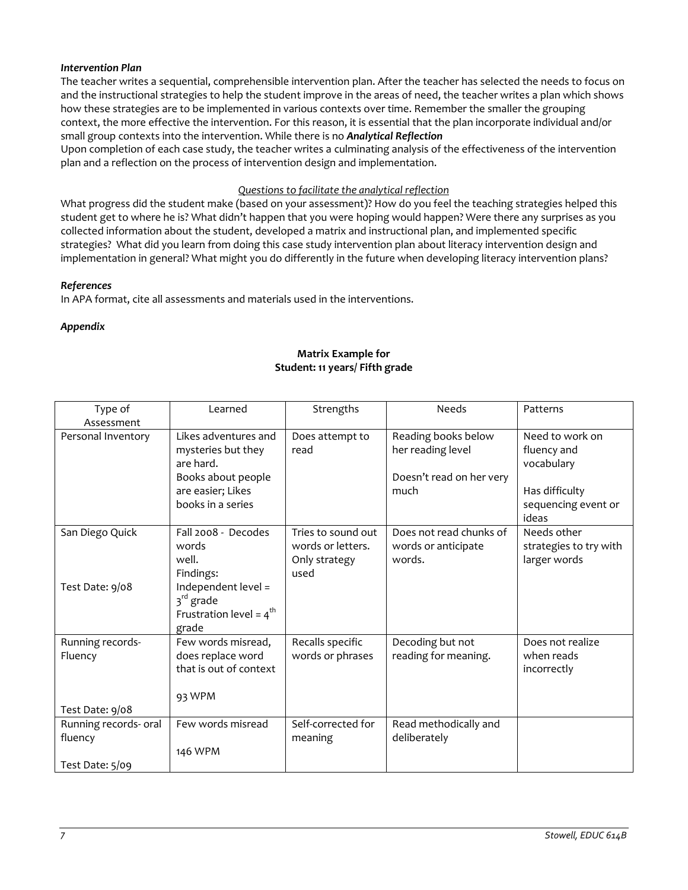# *Intervention Plan*

The teacher writes a sequential, comprehensible intervention plan. After the teacher has selected the needs to focus on and the instructional strategies to help the student improve in the areas of need, the teacher writes a plan which shows how these strategies are to be implemented in various contexts over time. Remember the smaller the grouping context, the more effective the intervention. For this reason, it is essential that the plan incorporate individual and/or small group contexts into the intervention. While there is no *Analytical Reflection*

Upon completion of each case study, the teacher writes a culminating analysis of the effectiveness of the intervention plan and a reflection on the process of intervention design and implementation.

## *Questions to facilitate the analytical reflection*

What progress did the student make (based on your assessment)? How do you feel the teaching strategies helped this student get to where he is? What didn't happen that you were hoping would happen? Were there any surprises as you collected information about the student, developed a matrix and instructional plan, and implemented specific strategies? What did you learn from doing this case study intervention plan about literacy intervention design and implementation in general? What might you do differently in the future when developing literacy intervention plans?

## *References*

In APA format, cite all assessments and materials used in the interventions.

# *Appendix*

# **Matrix Example for Student: 11 years/ Fifth grade**

| Type of                     | Learned                                                                               | Strengths                                                        | <b>Needs</b>                                                         | Patterns                                              |
|-----------------------------|---------------------------------------------------------------------------------------|------------------------------------------------------------------|----------------------------------------------------------------------|-------------------------------------------------------|
| Assessment                  |                                                                                       |                                                                  |                                                                      |                                                       |
| Personal Inventory          | Likes adventures and<br>mysteries but they<br>are hard.<br>Books about people         | Does attempt to<br>read                                          | Reading books below<br>her reading level<br>Doesn't read on her very | Need to work on<br>fluency and<br>vocabulary          |
|                             | are easier; Likes<br>books in a series                                                |                                                                  | much                                                                 | Has difficulty<br>sequencing event or<br>ideas        |
| San Diego Quick             | Fall 2008 - Decodes<br>words<br>well.<br>Findings:                                    | Tries to sound out<br>words or letters.<br>Only strategy<br>used | Does not read chunks of<br>words or anticipate<br>words.             | Needs other<br>strategies to try with<br>larger words |
| Test Date: 9/08             | Independent level =<br>3 <sup>rd</sup> grade<br>Frustration level = $4^{th}$<br>grade |                                                                  |                                                                      |                                                       |
| Running records-<br>Fluency | Few words misread,<br>does replace word<br>that is out of context<br>93 WPM           | Recalls specific<br>words or phrases                             | Decoding but not<br>reading for meaning.                             | Does not realize<br>when reads<br>incorrectly         |
| Test Date: 9/08             |                                                                                       |                                                                  |                                                                      |                                                       |
| Running records- oral       | Few words misread                                                                     | Self-corrected for                                               | Read methodically and                                                |                                                       |
| fluency                     |                                                                                       | meaning                                                          | deliberately                                                         |                                                       |
|                             | 146 WPM                                                                               |                                                                  |                                                                      |                                                       |
| Test Date: 5/09             |                                                                                       |                                                                  |                                                                      |                                                       |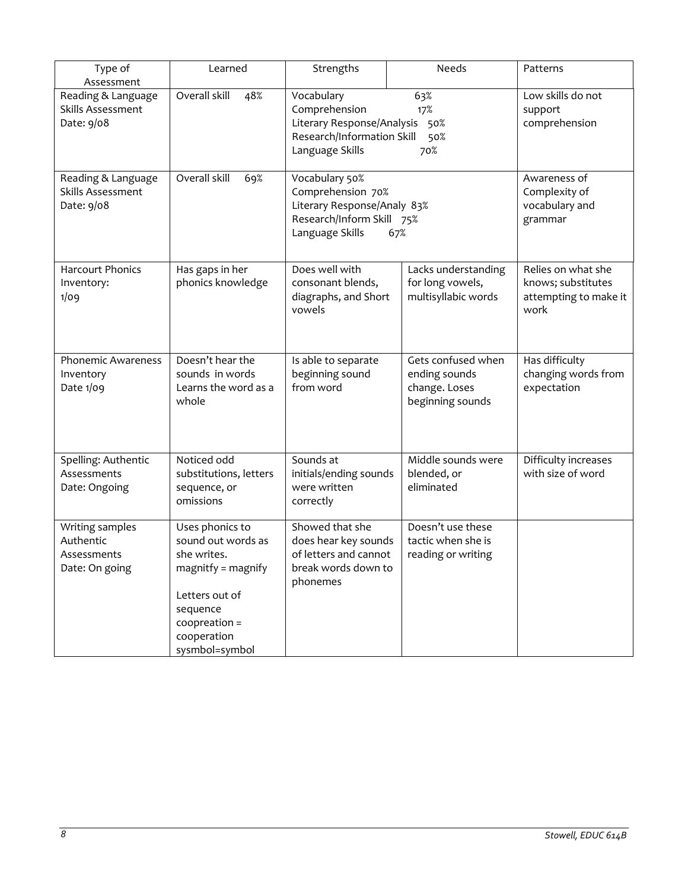| Type of<br>Assessment                                         | Learned                                                                                                                                                        | Strengths                                                                                                                                     | Needs                                                                    | Patterns                                                                  |
|---------------------------------------------------------------|----------------------------------------------------------------------------------------------------------------------------------------------------------------|-----------------------------------------------------------------------------------------------------------------------------------------------|--------------------------------------------------------------------------|---------------------------------------------------------------------------|
| Reading & Language<br>Skills Assessment<br>Date: 9/08         | Overall skill<br>48%                                                                                                                                           | Vocabulary<br>63%<br>Comprehension<br>17%<br>Literary Response/Analysis<br>50%<br>Research/Information Skill<br>50%<br>Language Skills<br>70% |                                                                          | Low skills do not<br>support<br>comprehension                             |
| Reading & Language<br>Skills Assessment<br>Date: 9/08         | Overall skill<br>69%                                                                                                                                           | Vocabulary 50%<br>Comprehension 70%<br>Literary Response/Analy 83%<br>Research/Inform Skill 75%<br>Language Skills<br>67%                     |                                                                          | Awareness of<br>Complexity of<br>vocabulary and<br>grammar                |
| Harcourt Phonics<br>Inventory:<br>1/09                        | Has gaps in her<br>phonics knowledge                                                                                                                           | Does well with<br>consonant blends,<br>diagraphs, and Short<br>vowels                                                                         | Lacks understanding<br>for long vowels,<br>multisyllabic words           | Relies on what she<br>knows; substitutes<br>attempting to make it<br>work |
| <b>Phonemic Awareness</b><br>Inventory<br>Date 1/09           | Doesn't hear the<br>sounds in words<br>Learns the word as a<br>whole                                                                                           | Is able to separate<br>beginning sound<br>from word                                                                                           | Gets confused when<br>ending sounds<br>change. Loses<br>beginning sounds | Has difficulty<br>changing words from<br>expectation                      |
| Spelling: Authentic<br>Assessments<br>Date: Ongoing           | Noticed odd<br>substitutions, letters<br>sequence, or<br>omissions                                                                                             | Sounds at<br>initials/ending sounds<br>were written<br>correctly                                                                              | Middle sounds were<br>blended, or<br>eliminated                          | Difficulty increases<br>with size of word                                 |
| Writing samples<br>Authentic<br>Assessments<br>Date: On going | Uses phonics to<br>sound out words as<br>she writes.<br>$magnitfy = magnify$<br>Letters out of<br>sequence<br>$cooperation =$<br>cooperation<br>sysmbol=symbol | Showed that she<br>does hear key sounds<br>of letters and cannot<br>break words down to<br>phonemes                                           | Doesn't use these<br>tactic when she is<br>reading or writing            |                                                                           |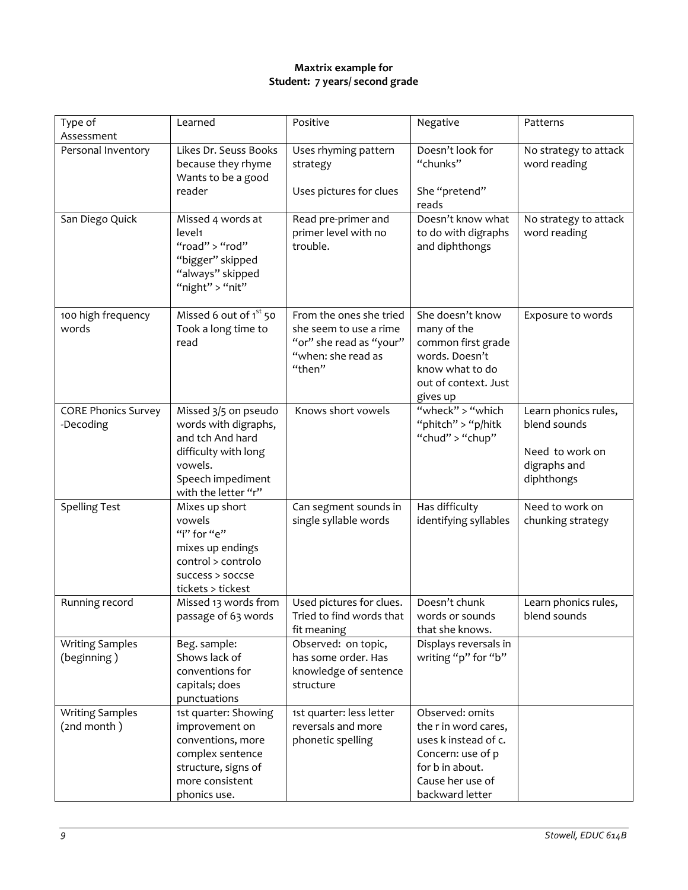# **Maxtrix example for Student: 7 years/ second grade**

| Type of<br>Assessment                   | Learned                                                                                                                                         | Positive                                                                                                     | Negative                                                                                                                                       | Patterns                                                                              |
|-----------------------------------------|-------------------------------------------------------------------------------------------------------------------------------------------------|--------------------------------------------------------------------------------------------------------------|------------------------------------------------------------------------------------------------------------------------------------------------|---------------------------------------------------------------------------------------|
| Personal Inventory                      | Likes Dr. Seuss Books<br>because they rhyme<br>Wants to be a good<br>reader                                                                     | Uses rhyming pattern<br>strategy<br>Uses pictures for clues                                                  | Doesn't look for<br>"chunks"<br>She "pretend"<br>reads                                                                                         | No strategy to attack<br>word reading                                                 |
| San Diego Quick                         | Missed 4 words at<br>level1<br>"road" > "rod"<br>"bigger" skipped<br>"always" skipped<br>"night" > "nit"                                        | Read pre-primer and<br>primer level with no<br>trouble.                                                      | Doesn't know what<br>to do with digraphs<br>and diphthongs                                                                                     | No strategy to attack<br>word reading                                                 |
| 100 high frequency<br>words             | Missed 6 out of 1 <sup>st</sup> 50<br>Took a long time to<br>read                                                                               | From the ones she tried<br>she seem to use a rime<br>"or" she read as "your"<br>"when: she read as<br>"then" | She doesn't know<br>many of the<br>common first grade<br>words. Doesn't<br>know what to do<br>out of context. Just<br>gives up                 | Exposure to words                                                                     |
| <b>CORE Phonics Survey</b><br>-Decoding | Missed 3/5 on pseudo<br>words with digraphs,<br>and tch And hard<br>difficulty with long<br>vowels.<br>Speech impediment<br>with the letter "r" | Knows short vowels                                                                                           | "wheck" > "which<br>"phitch" > "p/hitk<br>"chud" > "chup"                                                                                      | Learn phonics rules,<br>blend sounds<br>Need to work on<br>digraphs and<br>diphthongs |
| <b>Spelling Test</b>                    | Mixes up short<br>vowels<br>"i" for " $e$ "<br>mixes up endings<br>control > controlo<br>success > soccse<br>tickets > tickest                  | Can segment sounds in<br>single syllable words                                                               | Has difficulty<br>identifying syllables                                                                                                        | Need to work on<br>chunking strategy                                                  |
| Running record                          | Missed 13 words from<br>passage of 63 words                                                                                                     | Used pictures for clues.<br>Tried to find words that<br>fit meaning                                          | Doesn't chunk<br>words or sounds<br>that she knows.                                                                                            | Learn phonics rules,<br>blend sounds                                                  |
| <b>Writing Samples</b><br>(beginning)   | Beg. sample:<br>Shows lack of<br>conventions for<br>capitals; does<br>punctuations                                                              | Observed: on topic,<br>has some order. Has<br>knowledge of sentence<br>structure                             | Displays reversals in<br>writing "p" for "b"                                                                                                   |                                                                                       |
| <b>Writing Samples</b><br>(2nd month)   | 1st quarter: Showing<br>improvement on<br>conventions, more<br>complex sentence<br>structure, signs of<br>more consistent<br>phonics use.       | 1st quarter: less letter<br>reversals and more<br>phonetic spelling                                          | Observed: omits<br>the r in word cares,<br>uses k instead of c.<br>Concern: use of p<br>for b in about.<br>Cause her use of<br>backward letter |                                                                                       |